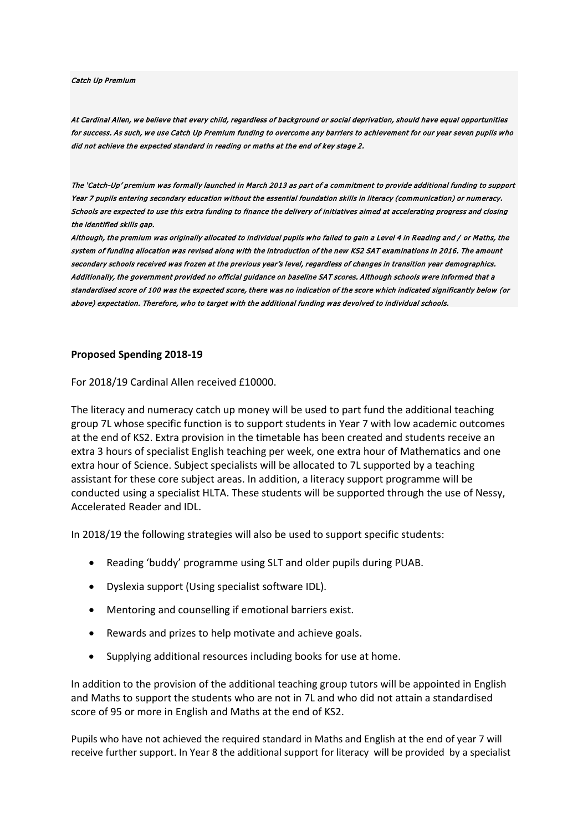Catch Up Premium

At Cardinal Allen, we believe that every child, regardless of background or social deprivation, should have equal opportunities for success. As such, we use Catch Up Premium funding to overcome any barriers to achievement for our year seven pupils who did not achieve the expected standard in reading or maths at the end of key stage 2.

The 'Catch-Up' premium was formally launched in March 2013 as part of a commitment to provide additional funding to support Year 7 pupils entering secondary education without the essential foundation skills in literacy (communication) or numeracy. Schools are expected to use this extra funding to finance the delivery of initiatives aimed at accelerating progress and closing the identified skills gap.

Although, the premium was originally allocated to individual pupils who failed to gain a Level 4 in Reading and / or Maths, the system of funding allocation was revised along with the introduction of the new KS2 SAT examinations in 2016. The amount secondary schools received was frozen at the previous year's level, regardless of changes in transition year demographics. Additionally, the government provided no official guidance on baseline SAT scores. Although schools were informed that a standardised score of 100 was the expected score, there was no indication of the score which indicated significantly below (or above) expectation. Therefore, who to target with the additional funding was devolved to individual schools.

## **Proposed Spending 2018-19**

For 2018/19 Cardinal Allen received £10000.

The literacy and numeracy catch up money will be used to part fund the additional teaching group 7L whose specific function is to support students in Year 7 with low academic outcomes at the end of KS2. Extra provision in the timetable has been created and students receive an extra 3 hours of specialist English teaching per week, one extra hour of Mathematics and one extra hour of Science. Subject specialists will be allocated to 7L supported by a teaching assistant for these core subject areas. In addition, a literacy support programme will be conducted using a specialist HLTA. These students will be supported through the use of Nessy, Accelerated Reader and IDL.

In 2018/19 the following strategies will also be used to support specific students:

- Reading 'buddy' programme using SLT and older pupils during PUAB.
- Dyslexia support (Using specialist software IDL).
- Mentoring and counselling if emotional barriers exist.
- Rewards and prizes to help motivate and achieve goals.
- Supplying additional resources including books for use at home.

In addition to the provision of the additional teaching group tutors will be appointed in English and Maths to support the students who are not in 7L and who did not attain a standardised score of 95 or more in English and Maths at the end of KS2.

Pupils who have not achieved the required standard in Maths and English at the end of year 7 will receive further support. In Year 8 the additional support for literacy will be provided by a specialist